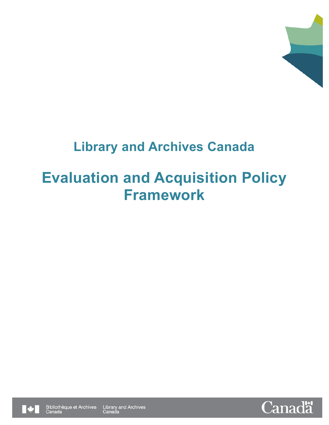

## **Library and Archives Canada**

# **Evaluation and Acquisition Policy Framework**



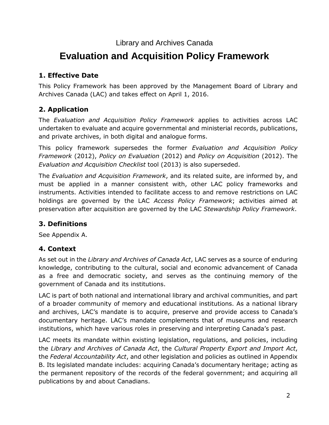#### Library and Archives Canada

## **Evaluation and Acquisition Policy Framework**

#### **1. Effective Date**

This Policy Framework has been approved by the Management Board of Library and Archives Canada (LAC) and takes effect on April 1, 2016.

#### **2. Application**

The *Evaluation and Acquisition Policy Framework* applies to activities across LAC undertaken to evaluate and acquire governmental and ministerial records, publications, and private archives, in both digital and analogue forms.

This policy framework supersedes the former *Evaluation and Acquisition Policy Framework* (2012), *Policy on Evaluation* (2012) and *Policy on Acquisition* (2012). The *Evaluation and Acquisition Checklist* tool (2013) is also superseded.

The *Evaluation and Acquisition Framework*, and its related suite, are informed by, and must be applied in a manner consistent with, other LAC policy frameworks and instruments. Activities intended to facilitate access to and remove restrictions on LAC holdings are governed by the LAC *Access Policy Framework*; activities aimed at preservation after acquisition are governed by the LAC *Stewardship Policy Framework*.

#### **3. Definitions**

See Appendix A.

#### **4. Context**

As set out in the *Library and Archives of Canada Act*, LAC serves as a source of enduring knowledge, contributing to the cultural, social and economic advancement of Canada as a free and democratic society, and serves as the continuing memory of the government of Canada and its institutions.

LAC is part of both national and international library and archival communities, and part of a broader community of memory and educational institutions. As a national library and archives, LAC's mandate is to acquire, preserve and provide access to Canada's documentary heritage. LAC's mandate complements that of museums and research institutions, which have various roles in preserving and interpreting Canada's past.

LAC meets its mandate within existing legislation, regulations, and policies, including the *Library and Archives of Canada Act*, the *Cultural Property Export and Import Act*, the *Federal Accountability Act*, and other legislation and policies as outlined in Appendix B. Its legislated mandate includes: acquiring Canada's documentary heritage; acting as the permanent repository of the records of the federal government; and acquiring all publications by and about Canadians.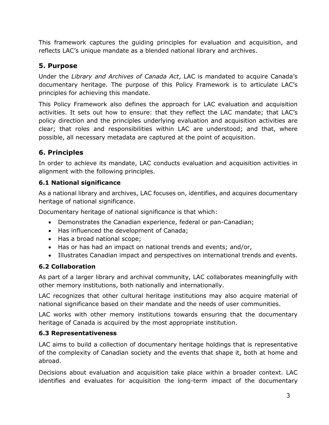This framework captures the guiding principles for evaluation and acquisition, and reflects LAC's unique mandate as a blended national library and archives.

#### **5. Purpose**

Under the *Library and Archives of Canada Act*, LAC is mandated to acquire Canada's documentary heritage. The purpose of this Policy Framework is to articulate LAC's principles for achieving this mandate.

This Policy Framework also defines the approach for LAC evaluation and acquisition activities. It sets out how to ensure: that they reflect the LAC mandate; that LAC's policy direction and the principles underlying evaluation and acquisition activities are clear; that roles and responsibilities within LAC are understood; and that, where possible, all necessary metadata are captured at the point of acquisition.

#### **6. Principles**

In order to achieve its mandate, LAC conducts evaluation and acquisition activities in alignment with the following principles.

#### **6.1 National significance**

As a national library and archives, LAC focuses on, identifies, and acquires documentary heritage of national significance.

Documentary heritage of national significance is that which:

- Demonstrates the Canadian experience, federal or pan-Canadian;
- Has influenced the development of Canada;
- Has a broad national scope;
- Has or has had an impact on national trends and events; and/or,
- Illustrates Canadian impact and perspectives on international trends and events.

#### **6.2 Collaboration**

As part of a larger library and archival community, LAC collaborates meaningfully with other memory institutions, both nationally and internationally.

LAC recognizes that other cultural heritage institutions may also acquire material of national significance based on their mandate and the needs of user communities.

LAC works with other memory institutions towards ensuring that the documentary heritage of Canada is acquired by the most appropriate institution.

#### **6.3 Representativeness**

LAC aims to build a collection of documentary heritage holdings that is representative of the complexity of Canadian society and the events that shape it, both at home and abroad.

Decisions about evaluation and acquisition take place within a broader context. LAC identifies and evaluates for acquisition the long-term impact of the documentary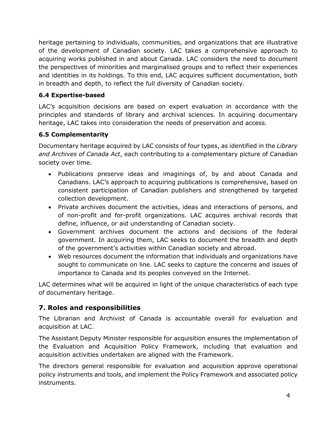heritage pertaining to individuals, communities, and organizations that are illustrative of the development of Canadian society. LAC takes a comprehensive approach to acquiring works published in and about Canada. LAC considers the need to document the perspectives of minorities and marginalised groups and to reflect their experiences and identities in its holdings. To this end, LAC acquires sufficient documentation, both in breadth and depth, to reflect the full diversity of Canadian society.

#### **6.4 Expertise-based**

LAC's acquisition decisions are based on expert evaluation in accordance with the principles and standards of library and archival sciences. In acquiring documentary heritage, LAC takes into consideration the needs of preservation and access.

#### **6.5 Complementarity**

Documentary heritage acquired by LAC consists of four types, as identified in the *Library and Archives of Canada Act*, each contributing to a complementary picture of Canadian society over time.

- Publications preserve ideas and imaginings of, by and about Canada and Canadians. LAC's approach to acquiring publications is comprehensive, based on consistent participation of Canadian publishers and strengthened by targeted collection development.
- Private archives document the activities, ideas and interactions of persons, and of non-profit and for-profit organizations. LAC acquires archival records that define, influence, or aid understanding of Canadian society.
- Government archives document the actions and decisions of the federal government. In acquiring them, LAC seeks to document the breadth and depth of the government's activities within Canadian society and abroad.
- Web resources document the information that individuals and organizations have sought to communicate on line. LAC seeks to capture the concerns and issues of importance to Canada and its peoples conveyed on the Internet.

LAC determines what will be acquired in light of the unique characteristics of each type of documentary heritage.

#### **7. Roles and responsibilities**

The Librarian and Archivist of Canada is accountable overall for evaluation and acquisition at LAC.

The Assistant Deputy Minister responsible for acquisition ensures the implementation of the Evaluation and Acquisition Policy Framework, including that evaluation and acquisition activities undertaken are aligned with the Framework.

The directors general responsible for evaluation and acquisition approve operational policy instruments and tools, and implement the Policy Framework and associated policy instruments.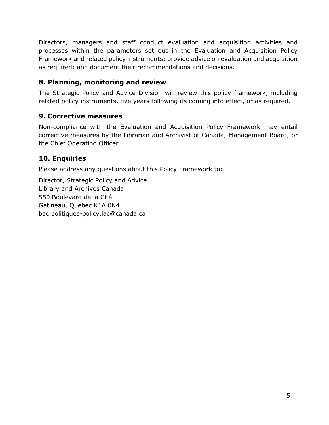Directors, managers and staff conduct evaluation and acquisition activities and processes within the parameters set out in the Evaluation and Acquisition Policy Framework and related policy instruments; provide advice on evaluation and acquisition as required; and document their recommendations and decisions.

#### **8. Planning, monitoring and review**

The Strategic Policy and Advice Division will review this policy framework, including related policy instruments, five years following its coming into effect, or as required.

#### **9. Corrective measures**

Non-compliance with the Evaluation and Acquisition Policy Framework may entail corrective measures by the Librarian and Archivist of Canada, Management Board, or the Chief Operating Officer.

#### **10. Enquiries**

Please address any questions about this Policy Framework to:

Director, Strategic Policy and Advice Library and Archives Canada 550 Boulevard de la Cité Gatineau, Quebec K1A 0N4 bac.politiques-policy.lac@canada.ca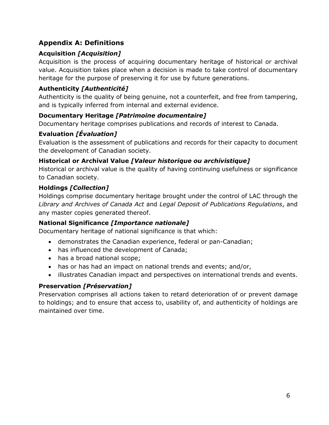#### **Appendix A: Definitions**

#### **Acquisition** *[Acquisition]*

Acquisition is the process of acquiring documentary heritage of historical or archival value. Acquisition takes place when a decision is made to take control of documentary heritage for the purpose of preserving it for use by future generations.

#### **Authenticity** *[Authenticité]*

Authenticity is the quality of being genuine, not a counterfeit, and free from tampering, and is typically inferred from internal and external evidence.

#### **Documentary Heritage** *[Patrimoine documentaire]*

Documentary heritage comprises publications and records of interest to Canada.

#### **Evaluation** *[Évaluation]*

Evaluation is the assessment of publications and records for their capacity to document the development of Canadian society.

#### **Historical or Archival Value** *[Valeur historique ou archivistique]*

Historical or archival value is the quality of having continuing usefulness or significance to Canadian society.

#### **Holdings** *[Collection]*

Holdings comprise documentary heritage brought under the control of LAC through the *Library and Archives of Canada Act* and *Legal Deposit of Publications Regulations*, and any master copies generated thereof.

#### **National Significance** *[Importance nationale]*

Documentary heritage of national significance is that which:

- demonstrates the Canadian experience, federal or pan-Canadian;
- has influenced the development of Canada;
- has a broad national scope;
- has or has had an impact on national trends and events; and/or,
- illustrates Canadian impact and perspectives on international trends and events.

#### **Preservation** *[Préservation]*

Preservation comprises all actions taken to retard deterioration of or prevent damage to holdings; and to ensure that access to, usability of, and authenticity of holdings are maintained over time.